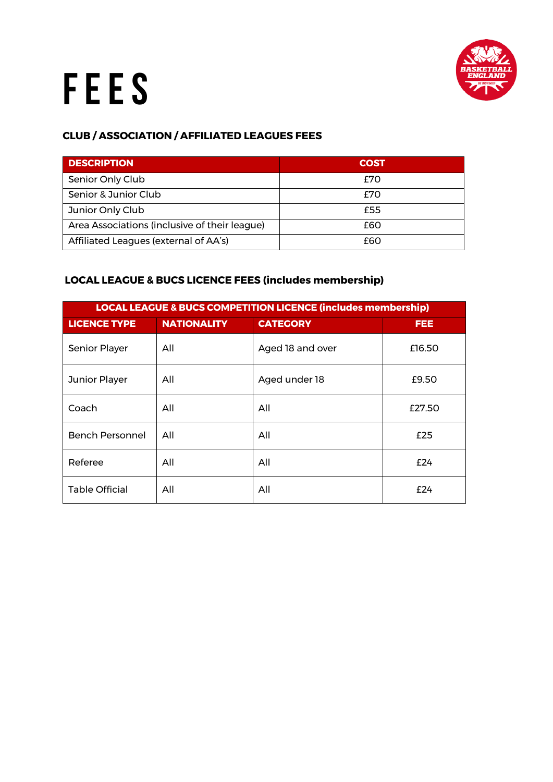

## FEES

## **CLUB / ASSOCIATION / AFFILIATED LEAGUES FEES**

| <b>DESCRIPTION</b>                            | <b>COST</b> |
|-----------------------------------------------|-------------|
| Senior Only Club                              | £70         |
| Senior & Junior Club                          | £70         |
| Junior Only Club                              | £55         |
| Area Associations (inclusive of their league) | £60         |
| Affiliated Leagues (external of AA's)         | f6O         |

## **LOCAL LEAGUE & BUCS LICENCE FEES (includes membership)**

| <b>LOCAL LEAGUE &amp; BUCS COMPETITION LICENCE (includes membership)</b> |                    |                  |            |  |
|--------------------------------------------------------------------------|--------------------|------------------|------------|--|
| <b>LICENCE TYPE</b>                                                      | <b>NATIONALITY</b> | <b>CATEGORY</b>  | <b>FEE</b> |  |
| <b>Senior Player</b>                                                     | All                | Aged 18 and over | £16.50     |  |
| Junior Player                                                            | All                | Aged under 18    | £9.50      |  |
| Coach                                                                    | All                | All              | £27.50     |  |
| <b>Bench Personnel</b>                                                   | All                | All              | £25        |  |
| Referee                                                                  | All                | All              | £24        |  |
| <b>Table Official</b>                                                    | All                | All              | f24        |  |